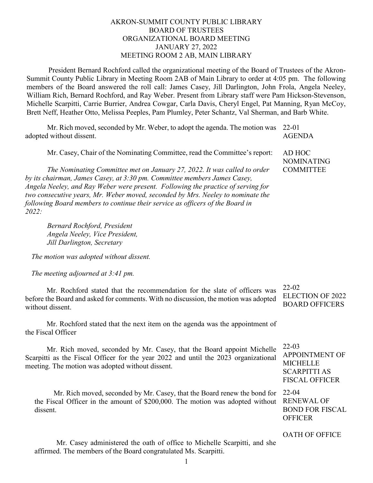## AKRON-SUMMIT COUNTY PUBLIC LIBRARY BOARD OF TRUSTEES ORGANIZATIONAL BOARD MEETING JANUARY 27, 2022 MEETING ROOM 2 AB, MAIN LIBRARY

President Bernard Rochford called the organizational meeting of the Board of Trustees of the Akron-Summit County Public Library in Meeting Room 2AB of Main Library to order at 4:05 pm. The following members of the Board answered the roll call: James Casey, Jill Darlington, John Frola, Angela Neeley, William Rich, Bernard Rochford, and Ray Weber. Present from Library staff were Pam Hickson-Stevenson, Michelle Scarpitti, Carrie Burrier, Andrea Cowgar, Carla Davis, Cheryl Engel, Pat Manning, Ryan McCoy, Brett Neff, Heather Otto, Melissa Peeples, Pam Plumley, Peter Schantz, Val Sherman, and Barb White.

Mr. Rich moved, seconded by Mr. Weber, to adopt the agenda. The motion was adopted without dissent. 22-01

Mr. Casey, Chair of the Nominating Committee, read the Committee's report:

*The Nominating Committee met on January 27, 2022. It was called to order by its chairman, James Casey, at 3:30 pm. Committee members James Casey, Angela Neeley, and Ray Weber were present. Following the practice of serving for two consecutive years, Mr. Weber moved, seconded by Mrs. Neeley to nominate the following Board members to continue their service as officers of the Board in 2022:*

*Bernard Rochford, President Angela Neeley, Vice President, Jill Darlington, Secretary* 

*The motion was adopted without dissent.*

*The meeting adjourned at 3:41 pm.*

Mr. Rochford stated that the recommendation for the slate of officers was before the Board and asked for comments. With no discussion, the motion was adopted without dissent.

Mr. Rochford stated that the next item on the agenda was the appointment of the Fiscal Officer

Mr. Rich moved, seconded by Mr. Casey, that the Board appoint Michelle Scarpitti as the Fiscal Officer for the year 2022 and until the 2023 organizational meeting. The motion was adopted without dissent.

Mr. Rich moved, seconded by Mr. Casey, that the Board renew the bond for 22-04 the Fiscal Officer in the amount of \$200,000. The motion was adopted without dissent.

Mr. Casey administered the oath of office to Michelle Scarpitti, and she affirmed. The members of the Board congratulated Ms. Scarpitti.

22-02 ELECTION OF 2022 BOARD OFFICERS

22-03 APPOINTMENT OF **MICHELLE** SCARPITTI AS FISCAL OFFICER

RENEWAL OF BOND FOR FISCAL **OFFICER** 

OATH OF OFFICE

AD HOC NOMINATING **COMMITTEE** 

AGENDA